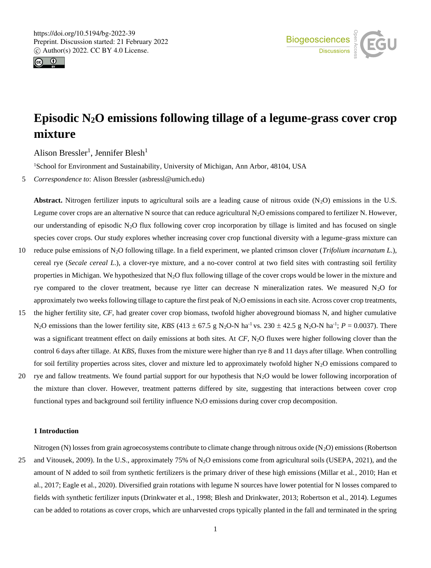



# **Episodic N2O emissions following tillage of a legume-grass cover crop mixture**

Alison Bressler<sup>1</sup>, Jennifer Blesh<sup>1</sup>

<sup>1</sup>School for Environment and Sustainability, University of Michigan, Ann Arbor, 48104, USA

5 *Correspondence to*: Alison Bressler (asbressl@umich.edu)

**Abstract.** Nitrogen fertilizer inputs to agricultural soils are a leading cause of nitrous oxide  $(N_2O)$  emissions in the U.S. Legume cover crops are an alternative N source that can reduce agricultural  $N_2O$  emissions compared to fertilizer N. However, our understanding of episodic N2O flux following cover crop incorporation by tillage is limited and has focused on single species cover crops. Our study explores whether increasing cover crop functional diversity with a legume-grass mixture can

- 10 reduce pulse emissions of N2O following tillage. In a field experiment, we planted crimson clover (*Trifolium incarnatum L*.), cereal rye (*Secale cereal L*.), a clover-rye mixture, and a no-cover control at two field sites with contrasting soil fertility properties in Michigan. We hypothesized that  $N_2O$  flux following tillage of the cover crops would be lower in the mixture and rye compared to the clover treatment, because rye litter can decrease N mineralization rates. We measured  $N_2O$  for approximately two weeks following tillage to capture the first peak of  $N_2O$  emissions in each site. Across cover crop treatments,
- 15 the higher fertility site, *CF*, had greater cover crop biomass, twofold higher aboveground biomass N, and higher cumulative N<sub>2</sub>O emissions than the lower fertility site, *KBS* (413  $\pm$  67.5 g N<sub>2</sub>O-N ha<sup>-1</sup> vs. 230  $\pm$  42.5 g N<sub>2</sub>O-N ha<sup>-1</sup>; *P* = 0.0037). There was a significant treatment effect on daily emissions at both sites. At *CF*, N<sub>2</sub>O fluxes were higher following clover than the control 6 days after tillage. At *KBS*, fluxes from the mixture were higher than rye 8 and 11 days after tillage. When controlling for soil fertility properties across sites, clover and mixture led to approximately twofold higher  $N_2O$  emissions compared to
- 20 rye and fallow treatments. We found partial support for our hypothesis that  $N_2O$  would be lower following incorporation of the mixture than clover. However, treatment patterns differed by site, suggesting that interactions between cover crop functional types and background soil fertility influence  $N_2O$  emissions during cover crop decomposition.

#### **1 Introduction**

Nitrogen (N) losses from grain agroecosystems contribute to climate change through nitrous oxide (N<sub>2</sub>O) emissions (Robertson 25 and Vitousek, 2009). In the U.S., approximately 75% of N2O emissions come from agricultural soils (USEPA, 2021), and the amount of N added to soil from synthetic fertilizers is the primary driver of these high emissions (Millar et al., 2010; Han et al., 2017; Eagle et al., 2020). Diversified grain rotations with legume N sources have lower potential for N losses compared to fields with synthetic fertilizer inputs (Drinkwater et al., 1998; Blesh and Drinkwater, 2013; Robertson et al., 2014). Legumes can be added to rotations as cover crops, which are unharvested crops typically planted in the fall and terminated in the spring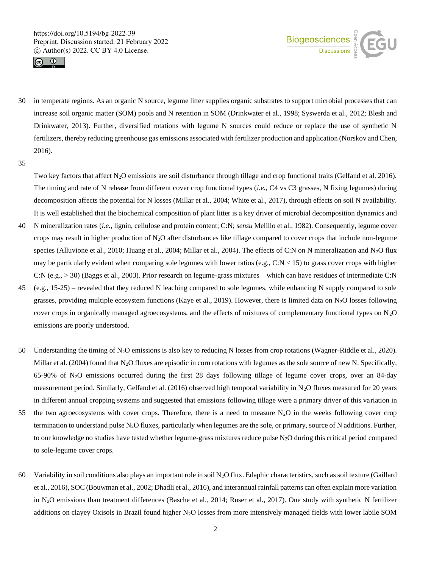



- 30 in temperate regions. As an organic N source, legume litter supplies organic substrates to support microbial processes that can increase soil organic matter (SOM) pools and N retention in SOM (Drinkwater et al., 1998; Syswerda et al., 2012; Blesh and Drinkwater, 2013). Further, diversified rotations with legume N sources could reduce or replace the use of synthetic N fertilizers, thereby reducing greenhouse gas emissions associated with fertilizer production and application (Norskov and Chen, 2016).
- 35

Two key factors that affect  $N_2O$  emissions are soil disturbance through tillage and crop functional traits (Gelfand et al. 2016). The timing and rate of N release from different cover crop functional types (*i.e.,* C4 vs C3 grasses, N fixing legumes) during decomposition affects the potential for N losses (Millar et al., 2004; White et al., 2017), through effects on soil N availability. It is well established that the biochemical composition of plant litter is a key driver of microbial decomposition dynamics and

- 40 N mineralization rates (*i.e.,* lignin, cellulose and protein content; C:N; *sensu* Melillo et al., 1982). Consequently, legume cover crops may result in higher production of  $N_2O$  after disturbances like tillage compared to cover crops that include non-legume species (Alluvione et al., 2010; Huang et al., 2004; Millar et al., 2004). The effects of C:N on N mineralization and N<sub>2</sub>O flux may be particularly evident when comparing sole legumes with lower ratios (e.g.,  $C:N < 15$ ) to grass cover crops with higher C:N (e.g., > 30) (Baggs et al., 2003). Prior research on legume-grass mixtures – which can have residues of intermediate C:N
- 45 (e.g., 15-25) revealed that they reduced N leaching compared to sole legumes, while enhancing N supply compared to sole grasses, providing multiple ecosystem functions (Kaye et al., 2019). However, there is limited data on  $N_2O$  losses following cover crops in organically managed agroecosystems, and the effects of mixtures of complementary functional types on  $N_2O$ emissions are poorly understood.
- 50 Understanding the timing of N2O emissions is also key to reducing N losses from crop rotations (Wagner-Riddle et al., 2020). Millar et al. (2004) found that  $N_2O$  fluxes are episodic in corn rotations with legumes as the sole source of new N. Specifically, 65-90% of  $N_2O$  emissions occurred during the first 28 days following tillage of legume cover crops, over an 84-day measurement period. Similarly, Gelfand et al. (2016) observed high temporal variability in N<sub>2</sub>O fluxes measured for 20 years in different annual cropping systems and suggested that emissions following tillage were a primary driver of this variation in
- 55 the two agroecosystems with cover crops. Therefore, there is a need to measure  $N_2O$  in the weeks following cover crop termination to understand pulse N2O fluxes, particularly when legumes are the sole, or primary, source of N additions. Further, to our knowledge no studies have tested whether legume-grass mixtures reduce pulse  $N_2O$  during this critical period compared to sole-legume cover crops.
- 60 Variability in soil conditions also plays an important role in soil  $N_2O$  flux. Edaphic characteristics, such as soil texture (Gaillard et al., 2016), SOC (Bouwman et al., 2002; Dhadli et al., 2016), and interannual rainfall patterns can often explain more variation in N2O emissions than treatment differences (Basche et al., 2014; Ruser et al., 2017). One study with synthetic N fertilizer additions on clayey Oxisols in Brazil found higher N2O losses from more intensively managed fields with lower labile SOM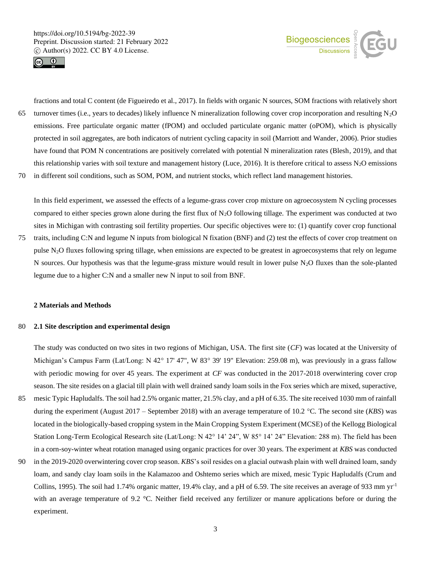



fractions and total C content (de Figueiredo et al., 2017). In fields with organic N sources, SOM fractions with relatively short 65 turnover times (i.e., years to decades) likely influence N mineralization following cover crop incorporation and resulting  $N_2O$ emissions. Free particulate organic matter (fPOM) and occluded particulate organic matter (oPOM), which is physically protected in soil aggregates, are both indicators of nutrient cycling capacity in soil (Marriott and Wander, 2006). Prior studies have found that POM N concentrations are positively correlated with potential N mineralization rates (Blesh, 2019), and that this relationship varies with soil texture and management history (Luce, 2016). It is therefore critical to assess  $N_2O$  emissions 70 in different soil conditions, such as SOM, POM, and nutrient stocks, which reflect land management histories.

In this field experiment, we assessed the effects of a legume-grass cover crop mixture on agroecosystem N cycling processes compared to either species grown alone during the first flux of  $N_2O$  following tillage. The experiment was conducted at two sites in Michigan with contrasting soil fertility properties. Our specific objectives were to: (1) quantify cover crop functional 75 traits, including C:N and legume N inputs from biological N fixation (BNF) and (2) test the effects of cover crop treatment on pulse N2O fluxes following spring tillage, when emissions are expected to be greatest in agroecosystems that rely on legume N sources. Our hypothesis was that the legume-grass mixture would result in lower pulse  $N_2O$  fluxes than the sole-planted legume due to a higher C:N and a smaller new N input to soil from BNF.

# **2 Materials and Methods**

# 80 **2.1 Site description and experimental design**

The study was conducted on two sites in two regions of Michigan, USA. The first site (*CF*) was located at the University of Michigan's Campus Farm (Lat/Long: N 42 $^{\circ}$  17' 47", W 83 $^{\circ}$  39' 19" Elevation: 259.08 m), was previously in a grass fallow with periodic mowing for over 45 years. The experiment at *CF* was conducted in the 2017-2018 overwintering cover crop season. The site resides on a glacial till plain with well drained sandy loam soils in the Fox series which are mixed, superactive,

- 85 mesic Typic Hapludalfs. The soil had 2.5% organic matter, 21.5% clay, and a pH of 6.35. The site received 1030 mm of rainfall during the experiment (August 2017 – September 2018) with an average temperature of 10.2 °C. The second site (*KBS*) was located in the biologically-based cropping system in the Main Cropping System Experiment (MCSE) of the Kellogg Biological Station Long-Term Ecological Research site (Lat/Long: N 42° 14' 24", W 85° 14' 24" Elevation: 288 m). The field has been in a corn-soy-winter wheat rotation managed using organic practices for over 30 years. The experiment at *KBS* was conducted
- 90 in the 2019-2020 overwintering cover crop season. *KBS*'s soil resides on a glacial outwash plain with well drained loam, sandy loam, and sandy clay loam soils in the Kalamazoo and Oshtemo series which are mixed, mesic Typic Hapludalfs (Crum and Collins, 1995). The soil had 1.74% organic matter, 19.4% clay, and a pH of 6.59. The site receives an average of 933 mm  $\text{yr}^{-1}$ with an average temperature of 9.2 °C. Neither field received any fertilizer or manure applications before or during the experiment.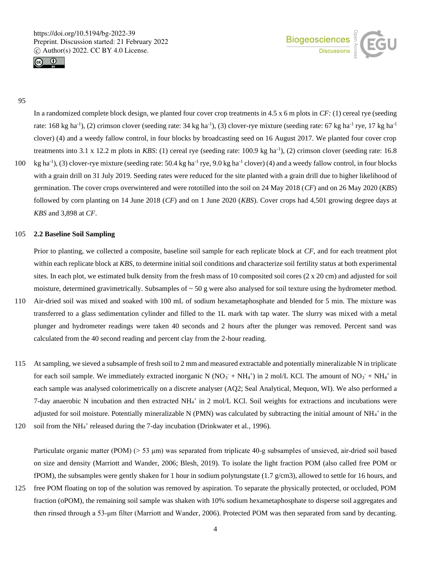



# 95

In a randomized complete block design, we planted four cover crop treatments in 4.5 x 6 m plots in *CF:* (1) cereal rye (seeding rate: 168 kg ha<sup>-1</sup>), (2) crimson clover (seeding rate: 34 kg ha<sup>-1</sup>), (3) clover-rye mixture (seeding rate: 67 kg ha<sup>-1</sup> rye, 17 kg ha<sup>-1</sup> clover) (4) and a weedy fallow control, in four blocks by broadcasting seed on 16 August 2017. We planted four cover crop treatments into 3.1 x 12.2 m plots in *KBS*: (1) cereal rye (seeding rate: 100.9 kg ha<sup>-1</sup>), (2) crimson clover (seeding rate: 16.8 100 kg ha<sup>-1</sup>), (3) clover-rye mixture (seeding rate: 50.4 kg ha<sup>-1</sup> rye, 9.0 kg ha<sup>-1</sup> clover) (4) and a weedy fallow control, in four blocks with a grain drill on 31 July 2019. Seeding rates were reduced for the site planted with a grain drill due to higher likelihood of germination. The cover crops overwintered and were rototilled into the soil on 24 May 2018 (*CF*) and on 26 May 2020 (*KBS*) followed by corn planting on 14 June 2018 (*CF*) and on 1 June 2020 (*KBS*). Cover crops had 4,501 growing degree days at

#### 105 **2.2 Baseline Soil Sampling**

*KBS* and 3,898 at *CF*.

Prior to planting, we collected a composite, baseline soil sample for each replicate block at *CF*, and for each treatment plot within each replicate block at *KBS*, to determine initial soil conditions and characterize soil fertility status at both experimental sites. In each plot, we estimated bulk density from the fresh mass of 10 composited soil cores (2 x 20 cm) and adjusted for soil moisture, determined gravimetrically. Subsamples of  $\sim$  50 g were also analysed for soil texture using the hydrometer method. 110 Air-dried soil was mixed and soaked with 100 mL of sodium hexametaphosphate and blended for 5 min. The mixture was transferred to a glass sedimentation cylinder and filled to the 1L mark with tap water. The slurry was mixed with a metal plunger and hydrometer readings were taken 40 seconds and 2 hours after the plunger was removed. Percent sand was calculated from the 40 second reading and percent clay from the 2-hour reading.

- 115 At sampling, we sieved a subsample of fresh soil to 2 mm and measured extractable and potentially mineralizable N in triplicate for each soil sample. We immediately extracted inorganic N ( $NO_3$ <sup>+</sup> NH<sub>4</sub><sup>+</sup>) in 2 mol/L KCl. The amount of  $NO_3$ <sup>+</sup> NH<sub>4</sub><sup>+</sup> in each sample was analysed colorimetrically on a discrete analyser (AQ2; Seal Analytical, Mequon, WI). We also performed a 7-day anaerobic N incubation and then extracted NH<sub>4</sub><sup>+</sup> in 2 mol/L KCl. Soil weights for extractions and incubations were adjusted for soil moisture. Potentially mineralizable N (PMN) was calculated by subtracting the initial amount of  $NH_4^+$  in the
- 120 soil from the NH<sub>4</sub><sup>+</sup> released during the 7-day incubation (Drinkwater et al., 1996).

Particulate organic matter (POM) (> 53 µm) was separated from triplicate 40-g subsamples of unsieved, air-dried soil based on size and density (Marriott and Wander, 2006; Blesh, 2019). To isolate the light fraction POM (also called free POM or fPOM), the subsamples were gently shaken for 1 hour in sodium polytungstate  $(1.7 \text{ g/cm3})$ , allowed to settle for 16 hours, and

125 free POM floating on top of the solution was removed by aspiration. To separate the physically protected, or occluded, POM fraction (oPOM), the remaining soil sample was shaken with 10% sodium hexametaphosphate to disperse soil aggregates and then rinsed through a 53‐μm filter (Marriott and Wander, 2006). Protected POM was then separated from sand by decanting.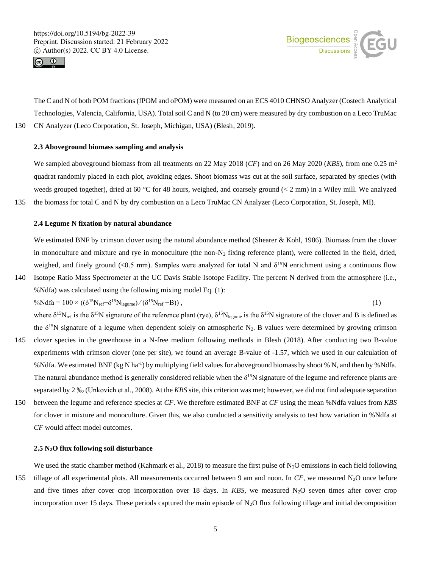



The C and N of both POM fractions (fPOM and oPOM) were measured on an ECS 4010 CHNSO Analyzer (Costech Analytical Technologies, Valencia, California, USA). Total soil C and N (to 20 cm) were measured by dry combustion on a Leco TruMac 130 CN Analyzer (Leco Corporation, St. Joseph, Michigan, USA) (Blesh, 2019).

## **2.3 Aboveground biomass sampling and analysis**

We sampled aboveground biomass from all treatments on 22 May 2018 (*CF*) and on 26 May 2020 (*KBS*), from one 0.25 m<sup>2</sup> quadrat randomly placed in each plot, avoiding edges. Shoot biomass was cut at the soil surface, separated by species (with weeds grouped together), dried at 60 °C for 48 hours, weighed, and coarsely ground  $(< 2$  mm) in a Wiley mill. We analyzed 135 the biomass for total C and N by dry combustion on a Leco TruMac CN Analyzer (Leco Corporation, St. Joseph, MI).

#### **2.4 Legume N fixation by natural abundance**

We estimated BNF by crimson clover using the natural abundance method (Shearer & Kohl, 1986). Biomass from the clover in monoculture and mixture and rye in monoculture (the non- $N_2$  fixing reference plant), were collected in the field, dried, weighed, and finely ground (<0.5 mm). Samples were analyzed for total N and  $\delta^{15}N$  enrichment using a continuous flow

140 Isotope Ratio Mass Spectrometer at the UC Davis Stable Isotope Facility. The percent N derived from the atmosphere (i.e., %Ndfa) was calculated using the following mixing model Eq. (1):  $\%Ndfa = 100 \times ((\delta^{15}N_{ref}-\delta^{15}N_{legume})/(\delta^{15}N_{ref}-B)),$  (1)

where  $\delta^{15}N_{ref}$  is the  $\delta^{15}N$  signature of the reference plant (rye),  $\delta^{15}N_{legume}$  is the  $\delta^{15}N$  signature of the clover and B is defined as the  $\delta^{15}N$  signature of a legume when dependent solely on atmospheric N<sub>2</sub>. B values were determined by growing crimson

- 145 clover species in the greenhouse in a N-free medium following methods in Blesh (2018). After conducting two B-value experiments with crimson clover (one per site), we found an average B-value of -1.57, which we used in our calculation of %Ndfa. We estimated BNF (kg N ha<sup>-1</sup>) by multiplying field values for aboveground biomass by shoot % N, and then by %Ndfa. The natural abundance method is generally considered reliable when the  $\delta^{15}N$  signature of the legume and reference plants are separated by 2 ‰ (Unkovich et al., 2008). At the *KBS* site, this criterion was met; however, we did not find adequate separation
- 150 between the legume and reference species at *CF*. We therefore estimated BNF at *CF* using the mean %Ndfa values from *KBS* for clover in mixture and monoculture. Given this, we also conducted a sensitivity analysis to test how variation in %Ndfa at *CF* would affect model outcomes.

## **2.5 N2O flux following soil disturbance**

We used the static chamber method (Kahmark et al., 2018) to measure the first pulse of  $N_2O$  emissions in each field following 155 tillage of all experimental plots. All measurements occurred between 9 am and noon. In *CF*, we measured N2O once before and five times after cover crop incorporation over 18 days. In *KBS*, we measured  $N_2O$  seven times after cover crop incorporation over 15 days. These periods captured the main episode of  $N_2O$  flux following tillage and initial decomposition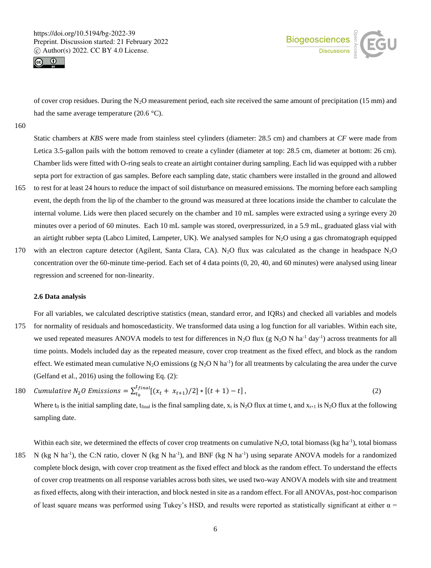



of cover crop residues. During the N<sub>2</sub>O measurement period, each site received the same amount of precipitation (15 mm) and had the same average temperature (20.6 °C).

160

Static chambers at *KBS* were made from stainless steel cylinders (diameter: 28.5 cm) and chambers at *CF* were made from Letica 3.5-gallon pails with the bottom removed to create a cylinder (diameter at top: 28.5 cm, diameter at bottom: 26 cm). Chamber lids were fitted with O-ring seals to create an airtight container during sampling. Each lid was equipped with a rubber septa port for extraction of gas samples. Before each sampling date, static chambers were installed in the ground and allowed

- 165 to rest for at least 24 hours to reduce the impact of soil disturbance on measured emissions. The morning before each sampling event, the depth from the lip of the chamber to the ground was measured at three locations inside the chamber to calculate the internal volume. Lids were then placed securely on the chamber and 10 mL samples were extracted using a syringe every 20 minutes over a period of 60 minutes. Each 10 mL sample was stored, overpressurized, in a 5.9 mL, graduated glass vial with an airtight rubber septa (Labco Limited, Lampeter, UK). We analysed samples for  $N_2O$  using a gas chromatograph equipped
- 170 with an electron capture detector (Agilent, Santa Clara, CA). N<sub>2</sub>O flux was calculated as the change in headspace N<sub>2</sub>O concentration over the 60-minute time-period. Each set of 4 data points (0, 20, 40, and 60 minutes) were analysed using linear regression and screened for non-linearity.

# **2.6 Data analysis**

For all variables, we calculated descriptive statistics (mean, standard error, and IQRs) and checked all variables and models

- 175 for normality of residuals and homoscedasticity. We transformed data using a log function for all variables. Within each site, we used repeated measures ANOVA models to test for differences in N<sub>2</sub>O flux (g N<sub>2</sub>O N ha<sup>-1</sup> day<sup>-1</sup>) across treatments for all time points. Models included day as the repeated measure, cover crop treatment as the fixed effect, and block as the random effect. We estimated mean cumulative N<sub>2</sub>O emissions (g N<sub>2</sub>O N ha<sup>-1</sup>) for all treatments by calculating the area under the curve (Gelfand et al., 2016) using the following Eq. (2):
- Cumulative N<sub>2</sub>O Emissions =  $\sum_{t_0}^{t_{final}}[(x_t + x_{t+1})/2]$  \* 180 *Cumulative*  $N_2O$  *Emissions* =  $\sum_{t_0}^{t} \binom{2}{t} \left[ (x_t + x_{t+1})/2 \right] * \left[ (t+1) - t \right]$ , (2)

Where t<sub>0</sub> is the initial sampling date, t<sub>final</sub> is the final sampling date,  $x_t$  is N<sub>2</sub>O flux at time t, and  $x_{t+1}$  is N<sub>2</sub>O flux at the following sampling date.

Within each site, we determined the effects of cover crop treatments on cumulative  $N_2O$ , total biomass (kg ha<sup>-1</sup>), total biomass 185 N (kg N ha<sup>-1</sup>), the C:N ratio, clover N (kg N ha<sup>-1</sup>), and BNF (kg N ha<sup>-1</sup>) using separate ANOVA models for a randomized complete block design, with cover crop treatment as the fixed effect and block as the random effect. To understand the effects of cover crop treatments on all response variables across both sites, we used two-way ANOVA models with site and treatment as fixed effects, along with their interaction, and block nested in site as a random effect. For all ANOVAs, post-hoc comparison of least square means was performed using Tukey's HSD, and results were reported as statistically significant at either  $\alpha$  =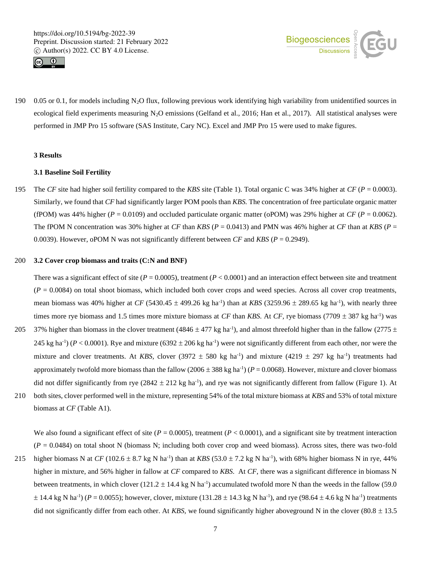



190 0.05 or 0.1, for models including N<sub>2</sub>O flux, following previous work identifying high variability from unidentified sources in ecological field experiments measuring N<sub>2</sub>O emissions (Gelfand et al., 2016; Han et al., 2017). All statistical analyses were performed in JMP Pro 15 software (SAS Institute, Cary NC). Excel and JMP Pro 15 were used to make figures.

# **3 Results**

#### **3.1 Baseline Soil Fertility**

195 The *CF* site had higher soil fertility compared to the *KBS* site (Table 1). Total organic C was 34% higher at *CF* (*P* = 0.0003). Similarly, we found that *CF* had significantly larger POM pools than *KBS.* The concentration of free particulate organic matter (fPOM) was 44% higher ( $P = 0.0109$ ) and occluded particulate organic matter (oPOM) was 29% higher at *CF* ( $P = 0.0062$ ). The fPOM N concentration was 30% higher at *CF* than *KBS*  $(P = 0.0413)$  and PMN was 46% higher at *CF* than at *KBS*  $(P = 0.0413)$ 0.0039). However, oPOM N was not significantly different between *CF* and *KBS* (*P* = 0.2949).

#### 200 **3.2 Cover crop biomass and traits (C:N and BNF)**

There was a significant effect of site ( $P = 0.0005$ ), treatment ( $P < 0.0001$ ) and an interaction effect between site and treatment  $(P = 0.0084)$  on total shoot biomass, which included both cover crops and weed species. Across all cover crop treatments, mean biomass was 40% higher at *CF* (5430.45  $\pm$  499.26 kg ha<sup>-1</sup>) than at *KBS* (3259.96  $\pm$  289.65 kg ha<sup>-1</sup>), with nearly three times more rye biomass and 1.5 times more mixture biomass at *CF* than *KBS*. At *CF*, rye biomass (7709  $\pm$  387 kg ha<sup>-1</sup>) was 205 37% higher than biomass in the clover treatment (4846  $\pm$  477 kg ha<sup>-1</sup>), and almost threefold higher than in the fallow (2775  $\pm$ 245 kg ha<sup>-1</sup>) ( $P < 0.0001$ ). Rye and mixture (6392  $\pm$  206 kg ha<sup>-1</sup>) were not significantly different from each other, nor were the mixture and clover treatments. At *KBS*, clover  $(3972 \pm 580 \text{ kg ha}^{-1})$  and mixture  $(4219 \pm 297 \text{ kg ha}^{-1})$  treatments had

approximately twofold more biomass than the fallow  $(2006 \pm 388 \text{ kg ha}^{-1}) (P = 0.0068)$ . However, mixture and clover biomass did not differ significantly from rye  $(2842 \pm 212 \text{ kg ha}^{-1})$ , and rye was not significantly different from fallow (Figure 1). At 210 both sites, clover performed well in the mixture, representing 54% of the total mixture biomass at *KBS* and 53% of total mixture biomass at *CF* (Table A1).

We also found a significant effect of site ( $P = 0.0005$ ), treatment ( $P < 0.0001$ ), and a significant site by treatment interaction  $(P = 0.0484)$  on total shoot N (biomass N; including both cover crop and weed biomass). Across sites, there was two-fold

215 higher biomass N at  $CF$  (102.6  $\pm$  8.7 kg N ha<sup>-1</sup>) than at *KBS* (53.0  $\pm$  7.2 kg N ha<sup>-1</sup>), with 68% higher biomass N in rye, 44% higher in mixture, and 56% higher in fallow at *CF* compared to *KBS*. At *CF*, there was a significant difference in biomass N between treatments, in which clover  $(121.2 \pm 14.4 \text{ kg N} \text{ ha}^{-1})$  accumulated twofold more N than the weeds in the fallow (59.0)  $\pm$  14.4 kg N ha<sup>-1</sup>) ( $P = 0.0055$ ); however, clover, mixture (131.28  $\pm$  14.3 kg N ha<sup>-1</sup>), and rye (98.64  $\pm$  4.6 kg N ha<sup>-1</sup>) treatments did not significantly differ from each other. At *KBS*, we found significantly higher aboveground N in the clover  $(80.8 \pm 13.5$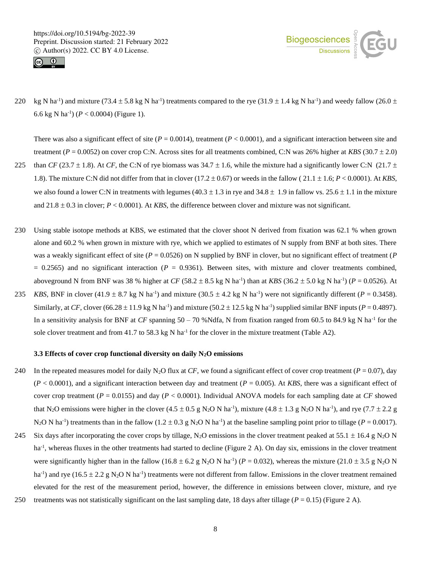



220 kg N ha<sup>-1</sup>) and mixture (73.4  $\pm$  5.8 kg N ha<sup>-1</sup>) treatments compared to the rye (31.9  $\pm$  1.4 kg N ha<sup>-1</sup>) and weedy fallow (26.0  $\pm$ 6.6 kg N ha-1 ) (*P* < 0.0004) (Figure 1).

There was also a significant effect of site (*P* = 0.0014), treatment (*P* < 0.0001), and a significant interaction between site and treatment (*P* = 0.0052) on cover crop C:N. Across sites for all treatments combined, C:N was 26% higher at *KBS* (30.7 2.0) 225 than *CF* (23.7  $\pm$  1.8). At *CF*, the C:N of rye biomass was 34.7  $\pm$  1.6, while the mixture had a significantly lower C:N (21.7  $\pm$ 

- 1.8). The mixture C:N did not differ from that in clover  $(17.2 \pm 0.67)$  or weeds in the fallow  $(21.1 \pm 1.6; P < 0.0001)$ . At *KBS*, we also found a lower C:N in treatments with legumes  $(40.3 \pm 1.3 \text{ in rye}$  and  $34.8 \pm 1.9 \text{ in fallow vs. } 25.6 \pm 1.1 \text{ in the mixture}$ and  $21.8 \pm 0.3$  in clover;  $P < 0.0001$ ). At *KBS*, the difference between clover and mixture was not significant.
- 230 Using stable isotope methods at KBS, we estimated that the clover shoot N derived from fixation was 62.1 % when grown alone and 60.2 % when grown in mixture with rye, which we applied to estimates of N supply from BNF at both sites. There was a weakly significant effect of site ( $P = 0.0526$ ) on N supplied by BNF in clover, but no significant effect of treatment ( $P$  $= 0.2565$ ) and no significant interaction ( $P = 0.9361$ ). Between sites, with mixture and clover treatments combined, aboveground N from BNF was 38 % higher at *CF*  $(58.2 \pm 8.5 \text{ kg N} \text{ ha}^{-1})$  than at *KBS*  $(36.2 \pm 5.0 \text{ kg N} \text{ ha}^{-1})$   $(P = 0.0526)$ . At
- 235 *KBS*, BNF in clover (41.9  $\pm$  8.7 kg N ha<sup>-1</sup>) and mixture (30.5  $\pm$  4.2 kg N ha<sup>-1</sup>) were not significantly different (*P* = 0.3458). Similarly, at *CF*, clover (66.28  $\pm$  11.9 kg N ha<sup>-1</sup>) and mixture (50.2  $\pm$  12.5 kg N ha<sup>-1</sup>) supplied similar BNF inputs (*P* = 0.4897). In a sensitivity analysis for BNF at  $CF$  spanning  $50-70$  %Ndfa, N from fixation ranged from  $60.5$  to  $84.9$  kg N ha<sup>-1</sup> for the sole clover treatment and from 41.7 to 58.3 kg N ha<sup>-1</sup> for the clover in the mixture treatment (Table A2).

# **3.3 Effects of cover crop functional diversity on daily N2O emissions**

- 240 In the repeated measures model for daily N<sub>2</sub>O flux at *CF*, we found a significant effect of cover crop treatment ( $P = 0.07$ ), day  $(P < 0.0001)$ , and a significant interaction between day and treatment  $(P = 0.005)$ . At *KBS*, there was a significant effect of cover crop treatment (*P* = 0.0155) and day (*P* < 0.0001). Individual ANOVA models for each sampling date at *CF* showed that N<sub>2</sub>O emissions were higher in the clover  $(4.5 \pm 0.5 \text{ g N}_2\text{O N} \text{ ha}^{-1})$ , mixture  $(4.8 \pm 1.3 \text{ g N}_2\text{O N} \text{ ha}^{-1})$ , and rye  $(7.7 \pm 2.2 \text{ g})$ N<sub>2</sub>O N ha<sup>-1</sup>) treatments than in the fallow (1.2  $\pm$  0.3 g N<sub>2</sub>O N ha<sup>-1</sup>) at the baseline sampling point prior to tillage (*P* = 0.0017).
- 245 Six days after incorporating the cover crops by tillage, N<sub>2</sub>O emissions in the clover treatment peaked at 55.1  $\pm$  16.4 g N<sub>2</sub>O N ha<sup>-1</sup>, whereas fluxes in the other treatments had started to decline (Figure 2 A). On day six, emissions in the clover treatment were significantly higher than in the fallow  $(16.8 \pm 6.2 \text{ g N}_2\text{O N} \text{ ha}^{-1})$  ( $P = 0.032$ ), whereas the mixture  $(21.0 \pm 3.5 \text{ g N}_2\text{O N} \text{ m}$ ha<sup>-1</sup>) and rye (16.5  $\pm$  2.2 g N<sub>2</sub>O N ha<sup>-1</sup>) treatments were not different from fallow. Emissions in the clover treatment remained elevated for the rest of the measurement period, however, the difference in emissions between clover, mixture, and rye
- 250 treatments was not statistically significant on the last sampling date, 18 days after tillage ( $P = 0.15$ ) (Figure 2 A).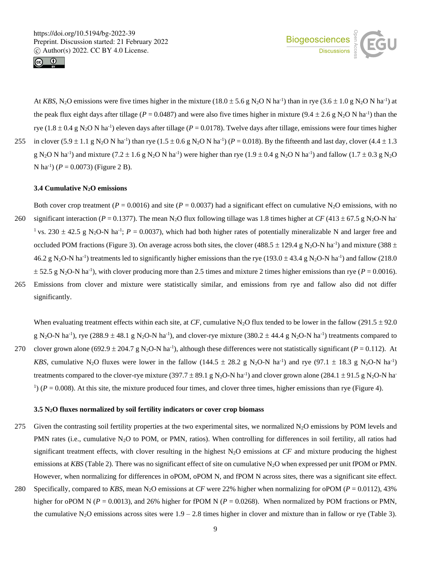



At *KBS*, N<sub>2</sub>O emissions were five times higher in the mixture  $(18.0 \pm 5.6 \text{ g N}_2\text{O N} \text{ ha}^{-1})$  than in rye  $(3.6 \pm 1.0 \text{ g N}_2\text{O N} \text{ ha}^{-1})$  at the peak flux eight days after tillage ( $P = 0.0487$ ) and were also five times higher in mixture ( $9.4 \pm 2.6$  g N<sub>2</sub>O N ha<sup>-1</sup>) than the rye  $(1.8 \pm 0.4 \text{ g N}_2\text{O N} \text{ ha}^{-1})$  eleven days after tillage ( $P = 0.0178$ ). Twelve days after tillage, emissions were four times higher 255 in clover  $(5.9 \pm 1.1 \text{ g N}_2\text{O N} \text{ ha}^{-1})$  than rye  $(1.5 \pm 0.6 \text{ g N}_2\text{O N} \text{ ha}^{-1})$   $(P = 0.018)$ . By the fifteenth and last day, clover  $(4.4 \pm 1.3 \text{ m})$ g N<sub>2</sub>O N ha<sup>-1</sup>) and mixture (7.2  $\pm$  1.6 g N<sub>2</sub>O N ha<sup>-1</sup>) were higher than rye (1.9  $\pm$  0.4 g N<sub>2</sub>O N ha<sup>-1</sup>) and fallow (1.7  $\pm$  0.3 g N<sub>2</sub>O

N ha<sup>-1</sup>) ( $P = 0.0073$ ) (Figure 2 B).

## **3.4 Cumulative N2O emissions**

Both cover crop treatment ( $P = 0.0016$ ) and site ( $P = 0.0037$ ) had a significant effect on cumulative N<sub>2</sub>O emissions, with no 260 significant interaction ( $P = 0.1377$ ). The mean N<sub>2</sub>O flux following tillage was 1.8 times higher at *CF* (413 ± 67.5 g N<sub>2</sub>O-N ha<sup>-</sup> <sup>1</sup> vs. 230  $\pm$  42.5 g N<sub>2</sub>O-N ha<sup>-1</sup>; *P* = 0.0037), which had both higher rates of potentially mineralizable N and larger free and occluded POM fractions (Figure 3). On average across both sites, the clover (488.5  $\pm$  129.4 g N<sub>2</sub>O-N ha<sup>-1</sup>) and mixture (388  $\pm$ 46.2 g N<sub>2</sub>O-N ha<sup>-1</sup>) treatments led to significantly higher emissions than the rye (193.0  $\pm$  43.4 g N<sub>2</sub>O-N ha<sup>-1</sup>) and fallow (218.0  $\pm$  52.5 g N<sub>2</sub>O-N ha<sup>-1</sup>), with clover producing more than 2.5 times and mixture 2 times higher emissions than rye ( $P = 0.0016$ ). 265 Emissions from clover and mixture were statistically similar, and emissions from rye and fallow also did not differ significantly.

When evaluating treatment effects within each site, at *CF*, cumulative N<sub>2</sub>O flux tended to be lower in the fallow (291.5  $\pm$  92.0) g N<sub>2</sub>O-N ha<sup>-1</sup>), rye (288.9  $\pm$  48.1 g N<sub>2</sub>O-N ha<sup>-1</sup>), and clover-rye mixture (380.2  $\pm$  44.4 g N<sub>2</sub>O-N ha<sup>-1</sup>) treatments compared to 270 clover grown alone (692.9  $\pm$  204.7 g N<sub>2</sub>O-N ha<sup>-1</sup>), although these differences were not statistically significant (*P* = 0.112). At *KBS*, cumulative N<sub>2</sub>O fluxes were lower in the fallow (144.5  $\pm$  28.2 g N<sub>2</sub>O-N ha<sup>-1</sup>) and rye (97.1  $\pm$  18.3 g N<sub>2</sub>O-N ha<sup>-1</sup>) treatments compared to the clover-rye mixture (397.7  $\pm$  89.1 g N<sub>2</sub>O-N ha<sup>-1</sup>) and clover grown alone (284.1  $\pm$  91.5 g N<sub>2</sub>O-N ha<sup>-1</sup>)  $(1)$  ( $P = 0.008$ ). At this site, the mixture produced four times, and clover three times, higher emissions than rye (Figure 4).

#### **3.5 N2O fluxes normalized by soil fertility indicators or cover crop biomass**

- 275 Given the contrasting soil fertility properties at the two experimental sites, we normalized  $N_2O$  emissions by POM levels and PMN rates (i.e., cumulative N<sub>2</sub>O to POM, or PMN, ratios). When controlling for differences in soil fertility, all ratios had significant treatment effects, with clover resulting in the highest  $N_2O$  emissions at *CF* and mixture producing the highest emissions at *KBS* (Table 2). There was no significant effect of site on cumulative N<sub>2</sub>O when expressed per unit fPOM or PMN. However, when normalizing for differences in oPOM, oPOM N, and fPOM N across sites, there was a significant site effect.
- 280 Specifically, compared to *KBS*, mean N2O emissions at *CF* were 22% higher when normalizing for oPOM (*P* = 0.0112), 43% higher for oPOM N ( $P = 0.0013$ ), and 26% higher for fPOM N ( $P = 0.0268$ ). When normalized by POM fractions or PMN, the cumulative N<sub>2</sub>O emissions across sites were  $1.9 - 2.8$  times higher in clover and mixture than in fallow or rye (Table 3).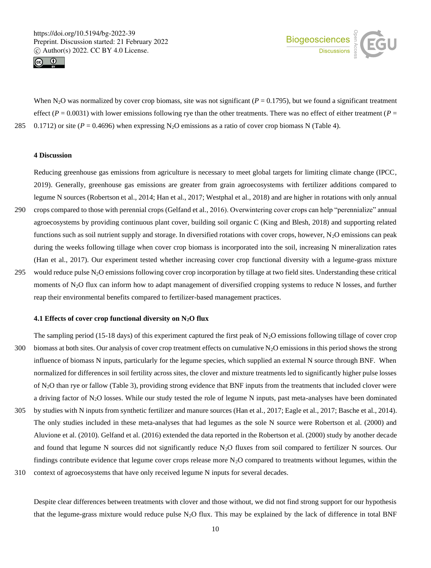



When N<sub>2</sub>O was normalized by cover crop biomass, site was not significant ( $P = 0.1795$ ), but we found a significant treatment effect ( $P = 0.0031$ ) with lower emissions following rye than the other treatments. There was no effect of either treatment ( $P =$ 285 0.1712) or site ( $P = 0.4696$ ) when expressing N<sub>2</sub>O emissions as a ratio of cover crop biomass N (Table 4).

# **4 Discussion**

Reducing greenhouse gas emissions from agriculture is necessary to meet global targets for limiting climate change (IPCC, 2019). Generally, greenhouse gas emissions are greater from grain agroecosystems with fertilizer additions compared to legume N sources (Robertson et al., 2014; Han et al., 2017; Westphal et al., 2018) and are higher in rotations with only annual 290 crops compared to those with perennial crops (Gelfand et al., 2016). Overwintering cover crops can help "perennialize" annual agroecosystems by providing continuous plant cover, building soil organic C (King and Blesh, 2018) and supporting related functions such as soil nutrient supply and storage. In diversified rotations with cover crops, however,  $N<sub>2</sub>O$  emissions can peak during the weeks following tillage when cover crop biomass is incorporated into the soil, increasing N mineralization rates (Han et al., 2017). Our experiment tested whether increasing cover crop functional diversity with a legume-grass mixture 295 would reduce pulse N2O emissions following cover crop incorporation by tillage at two field sites. Understanding these critical moments of N<sub>2</sub>O flux can inform how to adapt management of diversified cropping systems to reduce N losses, and further reap their environmental benefits compared to fertilizer-based management practices.

#### **4.1 Effects of cover crop functional diversity on N2O flux**

The sampling period (15-18 days) of this experiment captured the first peak of  $N_2O$  emissions following tillage of cover crop 300 biomass at both sites. Our analysis of cover crop treatment effects on cumulative  $N_2O$  emissions in this period shows the strong influence of biomass N inputs, particularly for the legume species, which supplied an external N source through BNF. When normalized for differences in soil fertility across sites, the clover and mixture treatments led to significantly higher pulse losses of N2O than rye or fallow (Table 3), providing strong evidence that BNF inputs from the treatments that included clover were a driving factor of N2O losses. While our study tested the role of legume N inputs, past meta-analyses have been dominated 305 by studies with N inputs from synthetic fertilizer and manure sources (Han et al., 2017; Eagle et al., 2017; Basche et al., 2014). The only studies included in these meta-analyses that had legumes as the sole N source were Robertson et al. (2000) and

Aluvione et al. (2010). Gelfand et al. (2016) extended the data reported in the Robertson et al. (2000) study by another decade and found that legume N sources did not significantly reduce  $N_2O$  fluxes from soil compared to fertilizer N sources. Our findings contribute evidence that legume cover crops release more  $N_2O$  compared to treatments without legumes, within the 310 context of agroecosystems that have only received legume N inputs for several decades.

Despite clear differences between treatments with clover and those without, we did not find strong support for our hypothesis that the legume-grass mixture would reduce pulse  $N_2O$  flux. This may be explained by the lack of difference in total BNF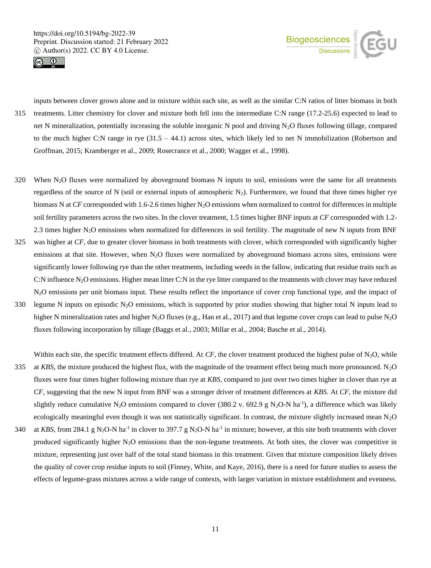



inputs between clover grown alone and in mixture within each site, as well as the similar C:N ratios of litter biomass in both 315 treatments. Litter chemistry for clover and mixture both fell into the intermediate C:N range (17.2-25.6) expected to lead to net N mineralization, potentially increasing the soluble inorganic N pool and driving N2O fluxes following tillage, compared to the much higher C:N range in rye  $(31.5 - 44.1)$  across sites, which likely led to net N immobilization (Robertson and Groffman, 2015; Kramberger et al., 2009; Rosecrance et al., 2000; Wagger et al., 1998).

- 320 When N2O fluxes were normalized by aboveground biomass N inputs to soil, emissions were the same for all treatments regardless of the source of N (soil or external inputs of atmospheric  $N_2$ ). Furthermore, we found that three times higher rye biomass N at *CF* corresponded with 1.6-2.6 times higher N<sub>2</sub>O emissions when normalized to control for differences in multiple soil fertility parameters across the two sites. In the clover treatment, 1.5 times higher BNF inputs at *CF* corresponded with 1.2- 2.3 times higher N2O emissions when normalized for differences in soil fertility. The magnitude of new N inputs from BNF
- 325 was higher at *CF*, due to greater clover biomass in both treatments with clover, which corresponded with significantly higher emissions at that site. However, when N<sub>2</sub>O fluxes were normalized by aboveground biomass across sites, emissions were significantly lower following rye than the other treatments, including weeds in the fallow, indicating that residue traits such as C:N influence  $N_2O$  emissions. Higher mean litter C:N in the rye litter compared to the treatments with clover may have reduced N<sub>2</sub>O emissions per unit biomass input. These results reflect the importance of cover crop functional type, and the impact of
- 330 legume N inputs on episodic N<sub>2</sub>O emissions, which is supported by prior studies showing that higher total N inputs lead to higher N mineralization rates and higher N<sub>2</sub>O fluxes (e.g., Han et al., 2017) and that legume cover crops can lead to pulse N<sub>2</sub>O fluxes following incorporation by tillage (Baggs et al., 2003; Millar et al., 2004; Basche et al., 2014).
- Within each site, the specific treatment effects differed. At *CF*, the clover treatment produced the highest pulse of  $N_2O$ , while 335 at *KBS*, the mixture produced the highest flux, with the magnitude of the treatment effect being much more pronounced. N2O fluxes were four times higher following mixture than rye at *KBS*, compared to just over two times higher in clover than rye at *CF*, suggesting that the new N input from BNF was a stronger driver of treatment differences at *KBS*. At *CF*, the mixture did slightly reduce cumulative N<sub>2</sub>O emissions compared to clover (380.2 v. 692.9 g N<sub>2</sub>O-N ha<sup>-1</sup>), a difference which was likely ecologically meaningful even though it was not statistically significant. In contrast, the mixture slightly increased mean  $N_2O$ 340 at *KBS*, from 284.1 g N<sub>2</sub>O-N ha<sup>-1</sup> in clover to 397.7 g N<sub>2</sub>O-N ha<sup>-1</sup> in mixture; however, at this site both treatments with clover produced significantly higher  $N_2O$  emissions than the non-legume treatments. At both sites, the clover was competitive in mixture, representing just over half of the total stand biomass in this treatment. Given that mixture composition likely drives the quality of cover crop residue inputs to soil (Finney, White, and Kaye, 2016), there is a need for future studies to assess the
	- effects of legume-grass mixtures across a wide range of contexts, with larger variation in mixture establishment and evenness.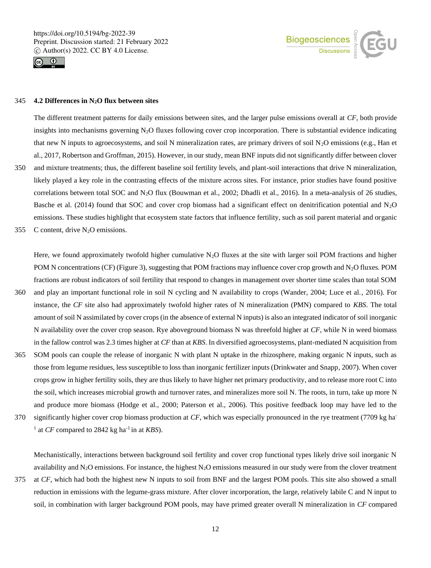



# 345 **4.2 Differences in N2O flux between sites**

The different treatment patterns for daily emissions between sites, and the larger pulse emissions overall at *CF*, both provide insights into mechanisms governing  $N_2O$  fluxes following cover crop incorporation. There is substantial evidence indicating that new N inputs to agroecosystems, and soil N mineralization rates, are primary drivers of soil  $N_2O$  emissions (e.g., Han et al., 2017, Robertson and Groffman, 2015). However, in our study, mean BNF inputs did not significantly differ between clover 350 and mixture treatments; thus, the different baseline soil fertility levels, and plant-soil interactions that drive N mineralization, likely played a key role in the contrasting effects of the mixture across sites. For instance, prior studies have found positive correlations between total SOC and N<sub>2</sub>O flux (Bouwman et al., 2002; Dhadli et al., 2016). In a meta-analysis of 26 studies, Basche et al. (2014) found that SOC and cover crop biomass had a significant effect on denitrification potential and N<sub>2</sub>O emissions. These studies highlight that ecosystem state factors that influence fertility, such as soil parent material and organic

355 C content, drive  $N_2O$  emissions.

Here, we found approximately twofold higher cumulative  $N_2O$  fluxes at the site with larger soil POM fractions and higher POM N concentrations (CF) (Figure 3), suggesting that POM fractions may influence cover crop growth and  $N_2O$  fluxes. POM fractions are robust indicators of soil fertility that respond to changes in management over shorter time scales than total SOM

- 360 and play an important functional role in soil N cycling and N availability to crops (Wander, 2004; Luce et al., 2016). For instance, the *CF* site also had approximately twofold higher rates of N mineralization (PMN) compared to *KBS*. The total amount of soil N assimilated by cover crops (in the absence of external N inputs) is also an integrated indicator of soil inorganic N availability over the cover crop season. Rye aboveground biomass N was threefold higher at *CF*, while N in weed biomass in the fallow control was 2.3 times higher at *CF* than at *KBS*. In diversified agroecosystems, plant-mediated N acquisition from
- 365 SOM pools can couple the release of inorganic N with plant N uptake in the rhizosphere, making organic N inputs, such as those from legume residues, less susceptible to loss than inorganic fertilizer inputs (Drinkwater and Snapp, 2007). When cover crops grow in higher fertility soils, they are thus likely to have higher net primary productivity, and to release more root C into the soil, which increases microbial growth and turnover rates, and mineralizes more soil N. The roots, in turn, take up more N and produce more biomass (Hodge et al., 2000; Paterson et al., 2006). This positive feedback loop may have led to the
- significantly higher cover crop biomass production at *CF*, which was especially pronounced in the rye treatment (7709 kg ha- 370 <sup>1</sup> at *CF* compared to 2842 kg ha<sup>-1</sup> in at *KBS*).

Mechanistically, interactions between background soil fertility and cover crop functional types likely drive soil inorganic N availability and  $N_2O$  emissions. For instance, the highest  $N_2O$  emissions measured in our study were from the clover treatment

375 at *CF*, which had both the highest new N inputs to soil from BNF and the largest POM pools. This site also showed a small reduction in emissions with the legume-grass mixture. After clover incorporation, the large, relatively labile C and N input to soil, in combination with larger background POM pools, may have primed greater overall N mineralization in *CF* compared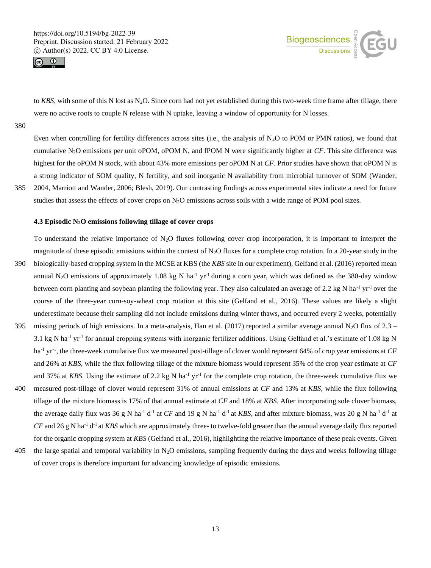



to *KBS*, with some of this N lost as N<sub>2</sub>O. Since corn had not yet established during this two-week time frame after tillage, there were no active roots to couple N release with N uptake, leaving a window of opportunity for N losses.

380

Even when controlling for fertility differences across sites (i.e., the analysis of  $N_2O$  to POM or PMN ratios), we found that cumulative N2O emissions per unit oPOM, oPOM N, and fPOM N were significantly higher at *CF*. This site difference was highest for the oPOM N stock, with about 43% more emissions per oPOM N at *CF*. Prior studies have shown that oPOM N is a strong indicator of SOM quality, N fertility, and soil inorganic N availability from microbial turnover of SOM (Wander, 385 2004, Marriott and Wander, 2006; Blesh, 2019). Our contrasting findings across experimental sites indicate a need for future studies that assess the effects of cover crops on  $N_2O$  emissions across soils with a wide range of POM pool sizes.

# **4.3 Episodic N2O emissions following tillage of cover crops**

To understand the relative importance of  $N_2O$  fluxes following cover crop incorporation, it is important to interpret the magnitude of these episodic emissions within the context of  $N_2O$  fluxes for a complete crop rotation. In a 20-year study in the 390 biologically-based cropping system in the MCSE at KBS (the *KBS* site in our experiment), Gelfand et al. (2016) reported mean annual N<sub>2</sub>O emissions of approximately 1.08 kg N ha<sup>-1</sup> yr<sup>-1</sup> during a corn year, which was defined as the 380-day window between corn planting and soybean planting the following year. They also calculated an average of 2.2 kg N ha<sup>-1</sup> yr<sup>-1</sup> over the course of the three-year corn-soy-wheat crop rotation at this site (Gelfand et al., 2016). These values are likely a slight underestimate because their sampling did not include emissions during winter thaws, and occurred every 2 weeks, potentially 395 missing periods of high emissions. In a meta-analysis, Han et al. (2017) reported a similar average annual N<sub>2</sub>O flux of 2.3 –

- 3.1 kg N ha<sup>-1</sup> yr<sup>-1</sup> for annual cropping systems with inorganic fertilizer additions. Using Gelfand et al.'s estimate of 1.08 kg N ha<sup>-1</sup> yr<sup>-1</sup>, the three-week cumulative flux we measured post-tillage of clover would represent 64% of crop year emissions at *CF* and 26% at *KBS*, while the flux following tillage of the mixture biomass would represent 35% of the crop year estimate at *CF* and 37% at *KBS*. Using the estimate of 2.2 kg N ha<sup>-1</sup> yr<sup>-1</sup> for the complete crop rotation, the three-week cumulative flux we
- 400 measured post-tillage of clover would represent 31% of annual emissions at *CF* and 13% at *KBS*, while the flux following tillage of the mixture biomass is 17% of that annual estimate at *CF* and 18% at *KBS*. After incorporating sole clover biomass, the average daily flux was 36 g N ha<sup>-1</sup> d<sup>-1</sup> at *CF* and 19 g N ha<sup>-1</sup> d<sup>-1</sup> at *KBS*, and after mixture biomass, was 20 g N ha<sup>-1</sup> d<sup>-1</sup> at  $CF$  and 26 g N ha<sup>-1</sup> d<sup>-1</sup> at *KBS* which are approximately three- to twelve-fold greater than the annual average daily flux reported for the organic cropping system at *KBS* (Gelfand et al., 2016), highlighting the relative importance of these peak events. Given
- 405 the large spatial and temporal variability in  $N_2O$  emissions, sampling frequently during the days and weeks following tillage of cover crops is therefore important for advancing knowledge of episodic emissions.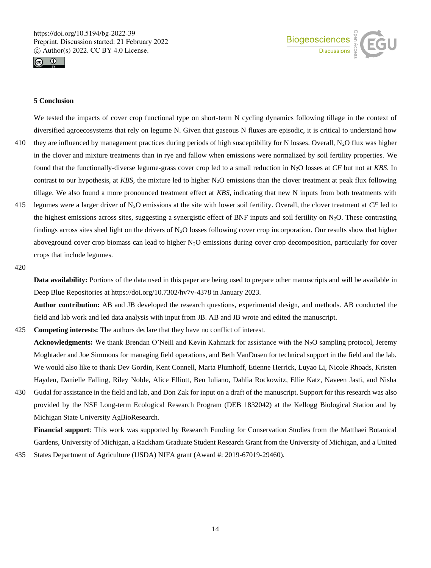



# **5 Conclusion**

We tested the impacts of cover crop functional type on short-term N cycling dynamics following tillage in the context of diversified agroecosystems that rely on legume N. Given that gaseous N fluxes are episodic, it is critical to understand how

- 410 they are influenced by management practices during periods of high susceptibility for N losses. Overall,  $N_2O$  flux was higher in the clover and mixture treatments than in rye and fallow when emissions were normalized by soil fertility properties. We found that the functionally-diverse legume-grass cover crop led to a small reduction in N2O losses at *CF* but not at *KBS*. In contrast to our hypothesis, at *KBS*, the mixture led to higher  $N<sub>2</sub>O$  emissions than the clover treatment at peak flux following tillage. We also found a more pronounced treatment effect at *KBS*, indicating that new N inputs from both treatments with
- 415 legumes were a larger driver of N2O emissions at the site with lower soil fertility. Overall, the clover treatment at *CF* led to the highest emissions across sites, suggesting a synergistic effect of BNF inputs and soil fertility on  $N_2O$ . These contrasting findings across sites shed light on the drivers of  $N_2O$  losses following cover crop incorporation. Our results show that higher aboveground cover crop biomass can lead to higher  $N_2O$  emissions during cover crop decomposition, particularly for cover crops that include legumes.

#### 420

**Data availability:** Portions of the data used in this paper are being used to prepare other manuscripts and will be available in Deep Blue Repositories at https://doi.org/10.7302/hv7v-4378 in January 2023.

**Author contribution:** AB and JB developed the research questions, experimental design, and methods. AB conducted the field and lab work and led data analysis with input from JB. AB and JB wrote and edited the manuscript.

# 425 **Competing interests:** The authors declare that they have no conflict of interest. **Acknowledgments:** We thank Brendan O'Neill and Kevin Kahmark for assistance with the N<sub>2</sub>O sampling protocol, Jeremy

Moghtader and Joe Simmons for managing field operations, and Beth VanDusen for technical support in the field and the lab. We would also like to thank Dev Gordin, Kent Connell, Marta Plumhoff, Etienne Herrick, Luyao Li, Nicole Rhoads, Kristen Hayden, Danielle Falling, Riley Noble, Alice Elliott, Ben Iuliano, Dahlia Rockowitz, Ellie Katz, Naveen Jasti, and Nisha

430 Gudal for assistance in the field and lab, and Don Zak for input on a draft of the manuscript. Support for this research was also provided by the NSF Long-term Ecological Research Program (DEB 1832042) at the Kellogg Biological Station and by Michigan State University AgBioResearch.

**Financial support**: This work was supported by Research Funding for Conservation Studies from the Matthaei Botanical Gardens, University of Michigan, a Rackham Graduate Student Research Grant from the University of Michigan, and a United

435 States Department of Agriculture (USDA) NIFA grant (Award #: 2019-67019-29460).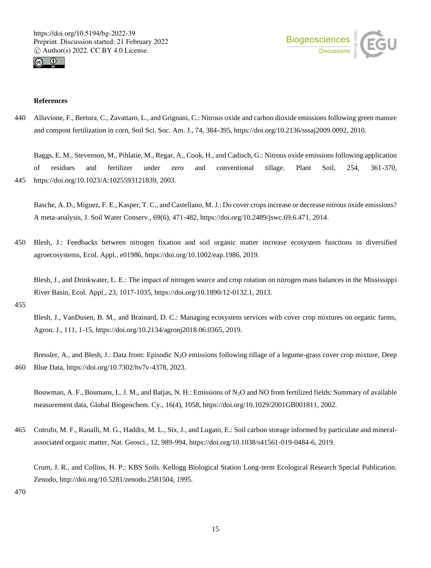



# **References**

440 Alluvione, F., Bertora, C., Zavattaro, L., and Grignani, C.: Nitrous oxide and carbon dioxide emissions following green manure and compost fertilization in corn, Soil Sci. Soc. Am. J., 74, 384-395, https://doi.org/10.2136/sssaj2009.0092, 2010.

Baggs, E. M., Stevenson, M., Pihlatie, M., Regar, A., Cook, H., and Cadisch, G.: Nitrous oxide emissions following application of residues and fertilizer under zero and conventional tillage. Plant Soil, 254, 361-370, 445 https://doi.org/10.1023/A:1025593121839, 2003.

Basche, A. D., Miguez, F. E., Kasper, T. C., and Castellano, M. J.: Do cover crops increase or decrease nitrous oxide emissions? A meta-analysis, J. Soil Water Conserv., 69(6), 471-482, https://doi.org/10.2489/jswc.69.6.471, 2014.

450 Blesh, J.: Feedbacks between nitrogen fixation and soil organic matter increase ecosystem functions in diversified agroecosystems, Ecol. Appl., e01986, https://doi.org/10.1002/eap.1986, 2019.

Blesh, J., and Drinkwater, L. E.: The impact of nitrogen source and crop rotation on nitrogen mass balances in the Mississippi River Basin, Ecol. Appl., 23, 1017-1035, https://doi.org/10.1890/12-0132.1, 2013.

455

Blesh, J., VanDusen, B. M., and Brainard, D. C.: Managing ecosystem services with cover crop mixtures on organic farms, Agron. J., 111, 1-15, https://doi.org/10.2134/agronj2018.06.0365, 2019.

Bressler, A., and Blesh, J.: Data from: Episodic N<sub>2</sub>O emissions following tillage of a legume-grass cover crop mixture, Deep 460 Blue Data, https://doi.org/10.7302/hv7v-4378, 2023.

Bouwman, A. F., Boumans, L. J. M., and Batjas, N. H.: Emissions of N2O and NO from fertilized fields: Summary of available measurement data, Global Biogeochem. Cy., 16(4), 1058, https://doi.org/10.1029/2001GB001811, 2002.

465 Cotrufo, M. F., Ranalli, M. G., Haddix, M. L., Six, J., and Lugato, E.: Soil carbon storage informed by particulate and mineralassociated organic matter, Nat. Geosci., 12, 989-994, https://doi.org/10.1038/s41561-019-0484-6, 2019.

Crum, J. R., and Collins, H. P.: KBS Soils. Kellogg Biological Station Long-term Ecological Research Special Publication. Zenodo, http://doi.org/10.5281/zenodo.2581504, 1995.

470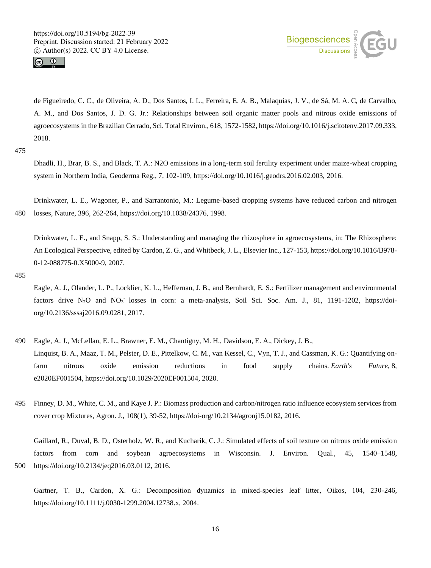



de Figueiredo, C. C., de Oliveira, A. D., Dos Santos, I. L., Ferreira, E. A. B., Malaquias, J. V., de Sá, M. A. C, de Carvalho, A. M., and Dos Santos, J. D. G. Jr.: Relationships between soil organic matter pools and nitrous oxide emissions of agroecosystems in the Brazilian Cerrado, Sci. Total Environ., 618, 1572-1582, https://doi.org/10.1016/j.scitotenv.2017.09.333, 2018.

475

Dhadli, H., Brar, B. S., and Black, T. A.: N2O emissions in a long-term soil fertility experiment under maize-wheat cropping system in Northern India, Geoderma Reg., 7, 102-109, https://doi.org/10.1016/j.geodrs.2016.02.003, 2016.

Drinkwater, L. E., Wagoner, P., and Sarrantonio, M.: Legume-based cropping systems have reduced carbon and nitrogen 480 losses, Nature, 396, 262-264, https://doi.org/10.1038/24376, 1998.

Drinkwater, L. E., and Snapp, S. S.: Understanding and managing the rhizosphere in agroecosystems, in: The Rhizosphere: An Ecological Perspective, edited by Cardon, Z. G., and Whitbeck, J. L., Elsevier Inc., 127-153, https://doi.org/10.1016/B978- 0-12-088775-0.X5000-9, 2007.

485

Eagle, A. J., Olander, L. P., Locklier, K. L., Heffernan, J. B., and Bernhardt, E. S.: Fertilizer management and environmental factors drive N<sub>2</sub>O and NO<sub>3</sub> losses in corn: a meta-analysis, Soil Sci. Soc. Am. J., 81, 1191-1202, https://doiorg/10.2136/sssaj2016.09.0281, 2017.

- 490 Eagle, A. J., McLellan, E. L., Brawner, E. M., Chantigny, M. H., Davidson, E. A., Dickey, J. B., Linquist, B. A., Maaz, T. M., Pelster, D. E., Pittelkow, C. M., van Kessel, C., Vyn, T. J., and Cassman, K. G.: Quantifying onfarm nitrous oxide emission reductions in food supply chains. *Earth's Future*, 8, e2020EF001504, https://doi.org/10.1029/2020EF001504, 2020.
- 495 Finney, D. M., White, C. M., and Kaye J. P.: Biomass production and carbon/nitrogen ratio influence ecosystem services from cover crop Mixtures, Agron. J., 108(1), 39-52, https://doi-org/10.2134/agronj15.0182, 2016.

Gaillard, R., Duval, B. D., Osterholz, W. R., and Kucharik, C. J.: Simulated effects of soil texture on nitrous oxide emission factors from corn and soybean agroecosystems in Wisconsin. J. Environ. Qual., 45, 1540–1548, 500 https://doi.org/10.2134/jeq2016.03.0112, 2016.

Gartner, T. B., Cardon, X. G.: Decomposition dynamics in mixed-species leaf litter, Oikos, 104, 230-246, https://doi.org/10.1111/j.0030-1299.2004.12738.x, 2004.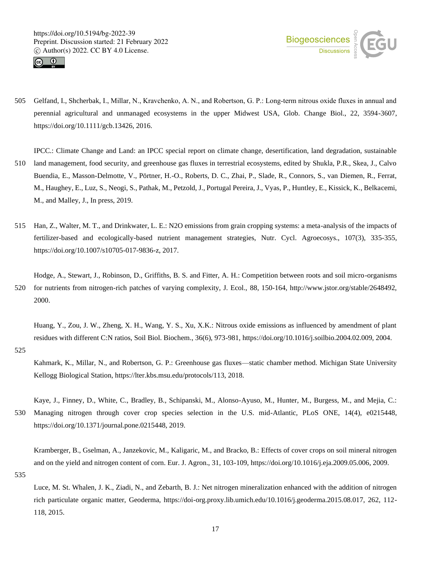



505 Gelfand, I., Shcherbak, I., Millar, N., Kravchenko, A. N., and Robertson, G. P.: Long‐term nitrous oxide fluxes in annual and perennial agricultural and unmanaged ecosystems in the upper Midwest USA, Glob. Change Biol., 22, 3594-3607, https://doi.org/10.1111/gcb.13426, 2016.

IPCC.: Climate Change and Land: an IPCC special report on climate change, desertification, land degradation, sustainable 510 land management, food security, and greenhouse gas fluxes in terrestrial ecosystems, edited by Shukla, P.R., Skea, J., Calvo Buendia, E., Masson-Delmotte, V., Pörtner, H.-O., Roberts, D. C., Zhai, P., Slade, R., Connors, S., van Diemen, R., Ferrat, M., Haughey, E., Luz, S., Neogi, S., Pathak, M., Petzold, J., Portugal Pereira, J., Vyas, P., Huntley, E., Kissick, K., Belkacemi, M., and Malley, J., In press, 2019.

515 Han, Z., Walter, M. T., and Drinkwater, L. E.: N2O emissions from grain cropping systems: a meta-analysis of the impacts of fertilizer-based and ecologically-based nutrient management strategies, Nutr. Cycl. Agroecosys., 107(3), 335-355, https://doi.org/10.1007/s10705-017-9836-z, 2017.

Hodge, A., Stewart, J., Robinson, D., Griffiths, B. S. and Fitter, A. H.: Competition between roots and soil micro-organisms 520 for nutrients from nitrogen-rich patches of varying complexity, J. Ecol., 88, 150-164, http://www.jstor.org/stable/2648492, 2000.

Huang, Y., Zou, J. W., Zheng, X. H., Wang, Y. S., Xu, X.K.: Nitrous oxide emissions as influenced by amendment of plant residues with different C:N ratios, Soil Biol. Biochem., 36(6), 973-981, https://doi.org/10.1016/j.soilbio.2004.02.009, 2004.

525

Kahmark, K., Millar, N., and Robertson, G. P.: Greenhouse gas fluxes—static chamber method. Michigan State University Kellogg Biological Station, https://lter.kbs.msu.edu/protocols/113, 2018.

Kaye, J., Finney, D., White, C., Bradley, B., Schipanski, M., Alonso-Ayuso, M., Hunter, M., Burgess, M., and Mejia, C.: 530 Managing nitrogen through cover crop species selection in the U.S. mid-Atlantic, PLoS ONE, 14(4), e0215448, https://doi.org/10.1371/journal.pone.0215448, 2019.

Kramberger, B., Gselman, A., Janzekovic, M., Kaligaric, M., and Bracko, B.: Effects of cover crops on soil mineral nitrogen and on the yield and nitrogen content of corn. Eur. J. Agron., 31, 103-109, https://doi.org/10.1016/j.eja.2009.05.006, 2009.

535

Luce, M. St. Whalen, J. K., Ziadi, N., and Zebarth, B. J.: Net nitrogen mineralization enhanced with the addition of nitrogen rich particulate organic matter, Geoderma, https://doi-org.proxy.lib.umich.edu/10.1016/j.geoderma.2015.08.017, 262, 112- 118, 2015.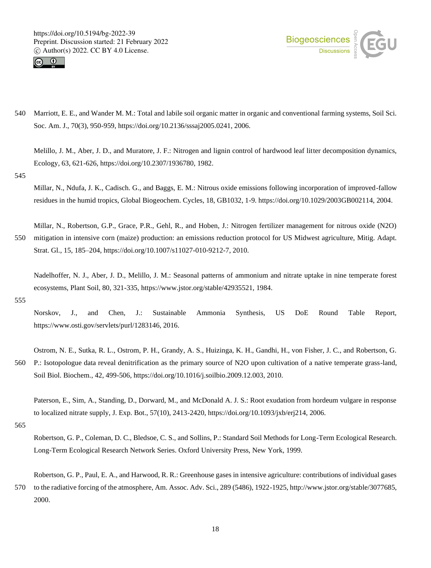



540 Marriott, E. E., and Wander M. M.: Total and labile soil organic matter in organic and conventional farming systems, Soil Sci. Soc. Am. J., 70(3), 950-959, https://doi.org/10.2136/sssaj2005.0241, 2006.

Melillo, J. M., Aber, J. D., and Muratore, J. F.: Nitrogen and lignin control of hardwood leaf litter decomposition dynamics, Ecology, 63, 621-626, https://doi.org/10.2307/1936780, 1982.

545

Millar, N., Ndufa, J. K., Cadisch. G., and Baggs, E. M.: Nitrous oxide emissions following incorporation of improved-fallow residues in the humid tropics, Global Biogeochem. Cycles, 18, GB1032, 1-9. https://doi.org/10.1029/2003GB002114, 2004.

Millar, N., Robertson, G.P., Grace, P.R., Gehl, R., and Hoben, J.: Nitrogen fertilizer management for nitrous oxide (N2O) 550 mitigation in intensive corn (maize) production: an emissions reduction protocol for US Midwest agriculture, Mitig. Adapt. Strat. Gl., 15, 185–204, https://doi.org/10.1007/s11027-010-9212-7, 2010.

Nadelhoffer, N. J., Aber, J. D., Melillo, J. M.: Seasonal patterns of ammonium and nitrate uptake in nine temperate forest ecosystems, Plant Soil, 80, 321-335, https://www.jstor.org/stable/42935521, 1984.

555

Norskov, J., and Chen, J.: Sustainable Ammonia Synthesis, US DoE Round Table Report, https://www.osti.gov/servlets/purl/1283146, 2016.

Ostrom, N. E., Sutka, R. L., Ostrom, P. H., Grandy, A. S., Huizinga, K. H., Gandhi, H., von Fisher, J. C., and Robertson, G. 560 P.: Isotopologue data reveal denitrification as the primary source of N2O upon cultivation of a native temperate grass-land, Soil Biol. Biochem., 42, 499-506, https://doi.org/10.1016/j.soilbio.2009.12.003, 2010.

Paterson, E., Sim, A., Standing, D., Dorward, M., and McDonald A. J. S.: Root exudation from hordeum vulgare in response to localized nitrate supply, J. Exp. Bot., 57(10), 2413-2420, https://doi.org/10.1093/jxb/erj214, 2006.

565

Robertson, G. P., Coleman, D. C., Bledsoe, C. S., and Sollins, P.: Standard Soil Methods for Long-Term Ecological Research. Long-Term Ecological Research Network Series. Oxford University Press, New York, 1999.

Robertson, G. P., Paul, E. A., and Harwood, R. R.: Greenhouse gases in intensive agriculture: contributions of individual gases 570 to the radiative forcing of the atmosphere, Am. Assoc. Adv. Sci., 289 (5486), 1922-1925, http://www.jstor.org/stable/3077685, 2000.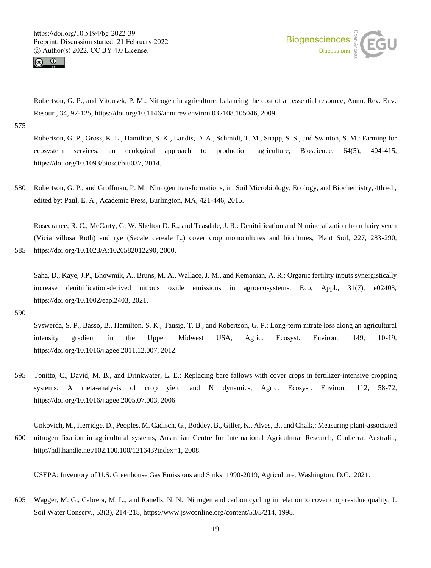



Robertson, G. P., and Vitousek, P. M.: Nitrogen in agriculture: balancing the cost of an essential resource, Annu. Rev. Env. Resour., 34, 97-125, https://doi.org/10.1146/annurev.environ.032108.105046, 2009.

575

Robertson, G. P., Gross, K. L., Hamilton, S. K., Landis, D. A., Schmidt, T. M., Snapp, S. S., and Swinton, S. M.: Farming for ecosystem services: an ecological approach to production agriculture, Bioscience, 64(5), 404-415, https://doi.org/10.1093/biosci/biu037, 2014.

580 Robertson, G. P., and Groffman, P. M.: Nitrogen transformations, in: Soil Microbiology, Ecology, and Biochemistry, 4th ed., edited by: Paul, E. A., Academic Press, Burlington, MA, 421-446, 2015.

Rosecrance, R. C., McCarty, G. W. Shelton D. R., and Teasdale, J. R.: Denitrification and N mineralization from hairy vetch (Vicia villosa Roth) and rye (Secale cereale L.) cover crop monocultures and bicultures, Plant Soil, 227, 283-290, 585 https://doi.org/10.1023/A:1026582012290, 2000.

Saha, D., Kaye, J.P., Bhowmik, A., Bruns, M. A., Wallace, J. M., and Kemanian, A. R.: Organic fertility inputs synergistically increase denitrification-derived nitrous oxide emissions in agroecosystems, Eco, Appl., 31(7), e02403, https://doi.org/10.1002/eap.2403, 2021.

590

Syswerda, S. P., Basso, B., Hamilton, S. K., Tausig, T. B., and Robertson, G. P.: Long-term nitrate loss along an agricultural intensity gradient in the Upper Midwest USA, Agric. Ecosyst. Environ., 149, 10-19, https://doi.org/10.1016/j.agee.2011.12.007, 2012.

595 Tonitto, C., David, M. B., and Drinkwater, L. E.: Replacing bare fallows with cover crops in fertilizer-intensive cropping systems: A meta-analysis of crop yield and N dynamics, Agric. Ecosyst. Environ., 112, 58-72, https://doi.org/10.1016/j.agee.2005.07.003, 2006

Unkovich, M., Herridge, D., Peoples, M. Cadisch, G., Boddey, B., Giller, K., Alves, B., and Chalk,: Measuring plant-associated 600 nitrogen fixation in agricultural systems, Australian Centre for International Agricultural Research, Canberra, Australia, http://hdl.handle.net/102.100.100/121643?index=1, 2008.

USEPA: Inventory of U.S. Greenhouse Gas Emissions and Sinks: 1990-2019, Agriculture, Washington, D.C., 2021.

605 Wagger, M. G., Cabrera, M. L., and Ranells, N. N.: Nitrogen and carbon cycling in relation to cover crop residue quality. J. Soil Water Conserv., 53(3), 214-218, https://www.jswconline.org/content/53/3/214, 1998.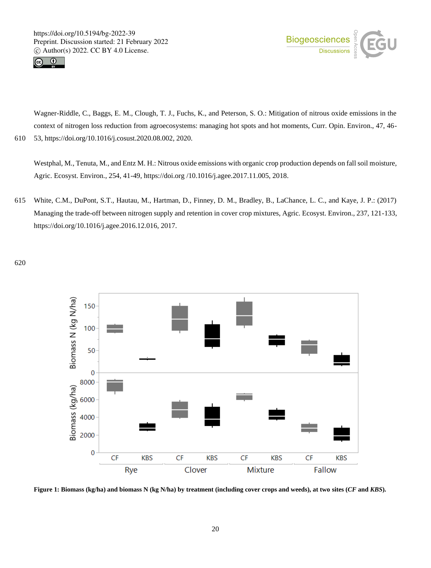



Wagner-Riddle, C., Baggs, E. M., Clough, T. J., Fuchs, K., and Peterson, S. O.: Mitigation of nitrous oxide emissions in the context of nitrogen loss reduction from agroecosystems: managing hot spots and hot moments, Curr. Opin. Environ., 47, 46- 610 53, https://doi.org/10.1016/j.cosust.2020.08.002, 2020.

Westphal, M., Tenuta, M., and Entz M. H.: Nitrous oxide emissions with organic crop production depends on fall soil moisture, Agric. Ecosyst. Environ., 254, 41-49, https://doi.org /10.1016/j.agee.2017.11.005, 2018.

615 White, C.M., DuPont, S.T., Hautau, M., Hartman, D., Finney, D. M., Bradley, B., LaChance, L. C., and Kaye, J. P.: (2017) Managing the trade-off between nitrogen supply and retention in cover crop mixtures, Agric. Ecosyst. Environ., 237, 121-133, https://doi.org/10.1016/j.agee.2016.12.016, 2017.

620



**Figure 1: Biomass (kg/ha) and biomass N (kg N/ha) by treatment (including cover crops and weeds), at two sites (***CF* **and** *KBS***).**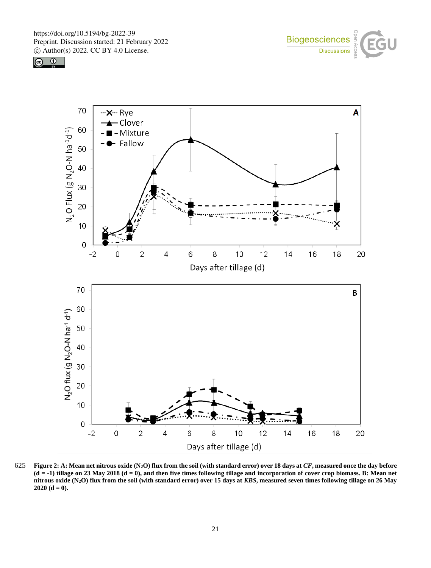





625 **Figure 2: A: Mean net nitrous oxide (N2O) flux from the soil (with standard error) over 18 days at** *CF***, measured once the day before**   $(d = -1)$  tillage on 23 May 2018  $(d = 0)$ , and then five times following tillage and incorporation of cover crop biomass. B: Mean net **nitrous oxide (N2O) flux from the soil (with standard error) over 15 days at** *KBS***, measured seven times following tillage on 26 May**   $2020$  (d = 0).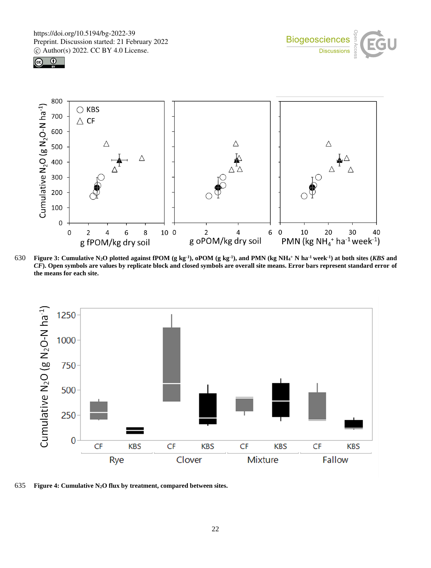





630 Figure 3: Cumulative N<sub>2</sub>O plotted against fPOM (g kg<sup>-1</sup>), oPOM (g kg<sup>-1</sup>), and PMN (kg NH<sub>4</sub>+ N ha<sup>-1</sup> week<sup>-1</sup>) at both sites (KBS and *CF***). Open symbols are values by replicate block and closed symbols are overall site means. Error bars represent standard error of the means for each site.** 



635 **Figure 4: Cumulative N2O flux by treatment, compared between sites.**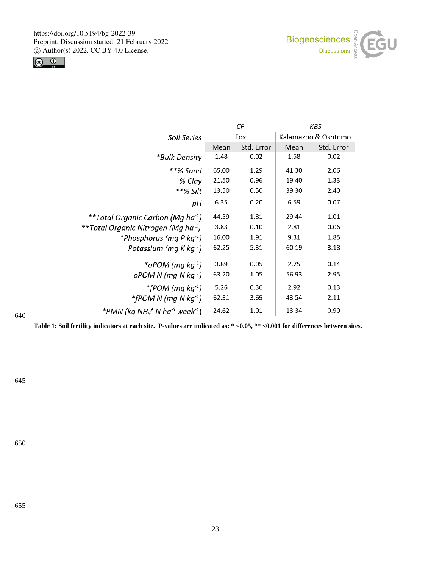



|                                                                    | СF    |            | KBS   |                     |
|--------------------------------------------------------------------|-------|------------|-------|---------------------|
| Soil Series                                                        |       | Fox        |       | Kalamazoo & Oshtemo |
|                                                                    | Mean  | Std. Error | Mean  | Std. Error          |
| *Bulk Density                                                      | 1.48  | 0.02       | 1.58  | 0.02                |
| **% Sand                                                           | 65.00 | 1.29       | 41.30 | 2.06                |
| % Clay                                                             | 21.50 | 0.96       | 19.40 | 1.33                |
| **% Silt                                                           | 13.50 | 0.50       | 39.30 | 2.40                |
| pН                                                                 | 6.35  | 0.20       | 6.59  | 0.07                |
| **Total Organic Carbon (Mg ha <sup>-1</sup> )                      | 44.39 | 1.81       | 29.44 | 1.01                |
| **Total Organic Nitrogen (Mg ha <sup>-1</sup> )                    | 3.83  | 0.10       | 2.81  | 0.06                |
| *Phosphorus (mg P kg $^{-1}$ )                                     | 16.00 | 1.91       | 9.31  | 1.85                |
| Potassium (mg K kg $^{-1}$ )                                       | 62.25 | 5.31       | 60.19 | 3.18                |
| *oPOM ( $mg \, kg^{-1}$ )                                          | 3.89  | 0.05       | 2.75  | 0.14                |
| $oPOM N (mq N kq^{-1})$                                            | 63.20 | 1.05       | 56.93 | 2.95                |
| *fPOM (mg kg <sup>-1</sup> )                                       | 5.26  | 0.36       | 2.92  | 0.13                |
| *fPOM N (mg N $kg^{-1}$ )                                          | 62.31 | 3.69       | 43.54 | 2.11                |
| *PMN (kg NH <sub>4</sub> + N ha <sup>-1</sup> week <sup>-1</sup> ) | 24.62 | 1.01       | 13.34 | 0.90                |

**Table 1: Soil fertility indicators at each site. P-values are indicated as: \* <0.05, \*\* <0.001 for differences between sites.**

645

640

650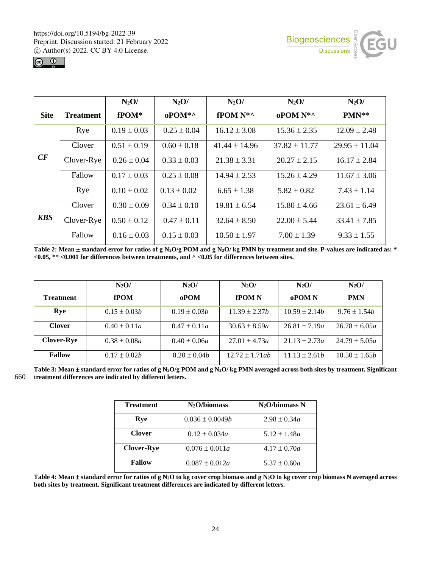



|             |                  | $N_2O/$         | $N_2O/$         | $N_2O/$           | $N_2O/$           | $N_2O/$           |
|-------------|------------------|-----------------|-----------------|-------------------|-------------------|-------------------|
| <b>Site</b> | <b>Treatment</b> | fPOM*           | $oPOM^*$        | fPOM N*^          | oPOM N*^          | $PMN**$           |
|             | Rye              | $0.19 \pm 0.03$ | $0.25 \pm 0.04$ | $16.12 \pm 3.08$  | $15.36 \pm 2.35$  | $12.09 \pm 2.48$  |
|             | Clover           | $0.51 \pm 0.19$ | $0.60 \pm 0.18$ | $41.44 \pm 14.96$ | $37.82 \pm 11.77$ | $29.95 \pm 11.04$ |
| CF          | Clover-Rye       | $0.26 \pm 0.04$ | $0.33 \pm 0.03$ | $21.38 \pm 3.31$  | $20.27 \pm 2.15$  | $16.17 \pm 2.84$  |
|             | Fallow           | $0.17 \pm 0.03$ | $0.25 \pm 0.08$ | $14.94 \pm 2.53$  | $15.26 \pm 4.29$  | $11.67 \pm 3.06$  |
|             | Rye              | $0.10 \pm 0.02$ | $0.13 \pm 0.02$ | $6.65 \pm 1.38$   | $5.82 \pm 0.82$   | $7.43 \pm 1.14$   |
| <b>KBS</b>  | Clover           | $0.30 \pm 0.09$ | $0.34 \pm 0.10$ | $19.81 \pm 6.54$  | $15.80 \pm 4.66$  | $23.61 \pm 6.49$  |
|             | Clover-Rye       | $0.50 \pm 0.12$ | $0.47 \pm 0.11$ | $32.64 \pm 8.50$  | $22.00 \pm 5.44$  | $33.41 \pm 7.85$  |
|             | Fallow           | $0.16 \pm 0.03$ | $0.15 \pm 0.03$ | $10.50 \pm 1.97$  | $7.00 \pm 1.39$   | $9.33 \pm 1.55$   |

**Table 2: Mean**  $\pm$  **standard error for ratios of g N<sub>2</sub>O/g POM and g N<sub>2</sub>O/kg PMN by treatment and site. P-values are indicated as: \* <0.05, \*\* <0.001 for differences between treatments, and ^ <0.05 for differences between sites.**

|                   | $N_2O/$          | $N_2O/$          | $N_2O/$            | $N_2O/$           | $N_2O/$           |
|-------------------|------------------|------------------|--------------------|-------------------|-------------------|
| <b>Treatment</b>  | fPOM             | oPOM             | <b>fPOMN</b>       | oPOM <sub>N</sub> | <b>PMN</b>        |
| Rve               | $0.15 \pm 0.03b$ | $0.19 \pm 0.03b$ | $11.39 \pm 2.37h$  | $10.59 \pm 2.14b$ | $9.76 \pm 1.54h$  |
| <b>Clover</b>     | $0.40 \pm 0.11a$ | $0.47 \pm 0.11a$ | $30.63 \pm 8.59a$  | $26.81 \pm 7.19a$ | $26.78 \pm 6.05a$ |
| <b>Clover-Rye</b> | $0.38 \pm 0.08a$ | $0.40 \pm 0.06a$ | $27.01 \pm 4.73a$  | $21.13 \pm 2.73a$ | $24.79 \pm 5.05a$ |
| <b>Fallow</b>     | $0.17 \pm 0.02b$ | $0.20 \pm 0.04h$ | $12.72 \pm 1.71ab$ | $11.13 \pm 2.61b$ | $10.50 \pm 1.65b$ |

Table 3: Mean  $\pm$  standard error for ratios of g N<sub>2</sub>O/g POM and g N<sub>2</sub>O/kg PMN averaged across both sites by treatment. Significant 660 **treatment differences are indicated by different letters.**

| <b>Treatment</b>  | $N_2O/h$ iomass     | $N_2O/biomass N$ |
|-------------------|---------------------|------------------|
| Rve               | $0.036 \pm 0.0049b$ | $2.98 \pm 0.34a$ |
| <b>Clover</b>     | $0.12 \pm 0.034a$   | $5.12 \pm 1.48a$ |
| <b>Clover-Rye</b> | $0.076 \pm 0.011a$  | $4.17 \pm 0.70a$ |
| <b>Fallow</b>     | $0.087 \pm 0.012a$  | $5.37 \pm 0.60a$ |

**Table 4: Mean**  $\pm$  **standard error for ratios of g N<sub>2</sub>O to kg cover crop biomass and g N<sub>2</sub>O to kg cover crop biomass N averaged across both sites by treatment. Significant treatment differences are indicated by different letters.**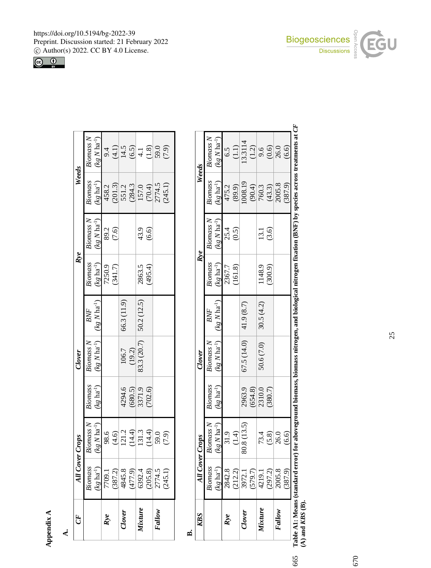**Appendix A**

| ×<br>×<br>w | ×<br>٧ |
|-------------|--------|
|             |        |

| GF      |                                                                                                                                    | All Cover Crops |                   | Clover                 |                             | Rye               |                  | Weeds                                                           |                                                                           |
|---------|------------------------------------------------------------------------------------------------------------------------------------|-----------------|-------------------|------------------------|-----------------------------|-------------------|------------------|-----------------------------------------------------------------|---------------------------------------------------------------------------|
|         | Biomass                                                                                                                            | omass N         | <b>Biomass</b>    | <b>Biomass N</b>       | BNF                         | Biomass           | <b>Biomass N</b> | Biomass                                                         | Biomass N                                                                 |
|         | $(kg \, ha^{-1})$                                                                                                                  | $g N h a^{-1}$  | $(kg \, ha^{-1})$ | $(kg N ha^{-1})$       | $(kg N)$ ha <sup>-1</sup> ) | $(kg \; ha^{-1})$ | $(kg N ha^{-1})$ | $(kg \text{ ha}^{-1})$                                          | $(kg\ N\ ha^{-1})$                                                        |
| Rve     | $\begin{array}{r} \hline 7709.1 \\ (387.2) \\ 4845.8 \\ (477.9) \\ (392.4) \\ (205.8) \\ (205.8) \\ 2774.5 \\ (245.1) \end{array}$ | 98.6            |                   |                        |                             | 7250.9<br>(341.7) | 89.2<br>(7.6)    |                                                                 |                                                                           |
|         |                                                                                                                                    | (4.6)           |                   |                        |                             |                   |                  |                                                                 |                                                                           |
| Clover  |                                                                                                                                    | 121.2           | 4294.6            |                        | 66.3 (11.9)                 |                   |                  | 458.2<br>201.3)<br>551.2<br>571.3<br>157.0<br>15774.5<br>245.1) | 9.4<br>$\frac{(4.1)}{14.5}$<br>$\frac{(6.5)}{4.1}$<br>$\frac{(1.8)}{4.1}$ |
|         |                                                                                                                                    | (14.4)          | (680.5)           | $\frac{106.7}{(19.2)}$ |                             |                   |                  |                                                                 |                                                                           |
| Vixture |                                                                                                                                    | 131.3           | 3371.9            | 83.3 (20.7)            | 50.2 (12.5)                 |                   |                  |                                                                 |                                                                           |
|         |                                                                                                                                    | (14.4)          |                   |                        |                             | 2863.5<br>(495.4) | 43.9<br>(6.6)    |                                                                 |                                                                           |
| Fallow  |                                                                                                                                    | 59.0            |                   |                        |                             |                   |                  |                                                                 | 59.0<br>(7.9)                                                             |
|         |                                                                                                                                    | (7.9)           |                   |                        |                             |                   |                  |                                                                 |                                                                           |
|         |                                                                                                                                    |                 |                   |                        |                             |                   |                  |                                                                 |                                                                           |

**B.**

| KRS     | <b>All Cover</b>                                                              | sdo.r).              |                   | Clover                            |            | Kye               |                            | Weeds                                                                                                                                     |                                             |
|---------|-------------------------------------------------------------------------------|----------------------|-------------------|-----------------------------------|------------|-------------------|----------------------------|-------------------------------------------------------------------------------------------------------------------------------------------|---------------------------------------------|
|         | Biomass                                                                       | Biomass <sub>N</sub> | <b>Biomass</b>    | $\mathit{Biomass}\;N$             | BNF        | <b>Biomass</b>    | <b>Biomass N</b>           | <b>Biomass</b>                                                                                                                            | <b>Biomass N</b>                            |
|         | $kg$ ha <sup>-1</sup> )                                                       | $(kg N ha^{-1})$     | $(kg \, ha^{-1})$ | $(kg N ha^{-1})$ $(kg N ha^{-1})$ |            | $(kg \ ha^{-1})$  | $(kg\ N\ h a^{\text{-}1})$ | $(kg \, \text{ha}^{-1})$                                                                                                                  | $(kg N ha^{-1})$                            |
| Kve     | 2842.8<br>(212.2)<br>3972.1<br>3972.1<br>4219.1<br>2005.8<br>2005.8<br>2005.9 | 31.9                 |                   |                                   |            | 2367.7<br>(161.8) | $25.4$<br>(0.5)            |                                                                                                                                           |                                             |
|         |                                                                               | (1.4)                |                   |                                   |            |                   |                            | 475.2<br>(89.9)                                                                                                                           | $6.5$<br>(1.1)                              |
| Clover  |                                                                               | 80.8 (13.5)          | 2963.9            | 67.5 (14.0)                       | 41.9 (8.7) |                   |                            |                                                                                                                                           | 13.3114                                     |
|         |                                                                               |                      | (654.8)           |                                   |            |                   |                            |                                                                                                                                           |                                             |
| lixture |                                                                               |                      | 2310.0            | 50.6 (7.0)                        | 30.5(4.2)  | 1148.9            |                            |                                                                                                                                           |                                             |
|         |                                                                               | 73.4<br>(5.8)        | (380.7)           |                                   |            | (300.9)           | 13.1<br>(3.6)              |                                                                                                                                           |                                             |
| Fallow  |                                                                               | 26.0                 |                   |                                   |            |                   |                            | $\begin{array}{c}\n 1008.19 \\  \underline{(90.4)} \\  \hline\n 760.3 \\  \underline{(43.3)} \\  2005.8 \\  \hline\n 387.9\n \end{array}$ | $\frac{(1.2)}{9.6}$<br>$\frac{(0.6)}{26.0}$ |
|         |                                                                               | (6.6)                |                   |                                   |            |                   |                            |                                                                                                                                           | (6.6)                                       |

Table A1: Means (standard error) for aboveground biomass, biomass nitrogen, and biological nitrogen fixation (BNF) by species across treatments at *CF* (A) and *KBS* (B). **A1: Means (standard error) for aboveground biomass, biomass nitrogen, and biological nitrogen fixation (BNF) by species across treatments at** *CF* **(A) and** *KBS* **(B).**

665

https://doi.org/10.5194/bg-2022-39 Preprint. Discussion started: 21 February 2022 c Author(s) 2022. CC BY 4.0 License.